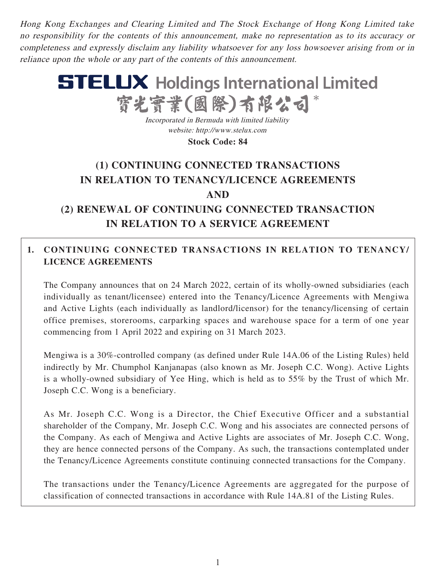Hong Kong Exchanges and Clearing Limited and The Stock Exchange of Hong Kong Limited take no responsibility for the contents of this announcement, make no representation as to its accuracy or completeness and expressly disclaim any liability whatsoever for any loss howsoever arising from or in reliance upon the whole or any part of the contents of this announcement.

# **STELUX** Holdings International Limited 寳光寳業(國際)有限公

Incorporated in Bermuda with limited liability website: http://www.stelux.com

**Stock Code: 84**

# **(1) CONTINUING CONNECTED TRANSACTIONS IN RELATION TO TENANCY/LICENCE AGREEMENTS AND**

## **(2) RENEWAL OF CONTINUING CONNECTED TRANSACTION IN RELATION TO A SERVICE AGREEMENT**

### **1. CONTINUING CONNECTED TRANSACTIONS IN RELATION TO TENANCY/ LICENCE AGREEMENTS**

The Company announces that on 24 March 2022, certain of its wholly-owned subsidiaries (each individually as tenant/licensee) entered into the Tenancy/Licence Agreements with Mengiwa and Active Lights (each individually as landlord/licensor) for the tenancy/licensing of certain office premises, storerooms, carparking spaces and warehouse space for a term of one year commencing from 1 April 2022 and expiring on 31 March 2023.

Mengiwa is a 30%-controlled company (as defined under Rule 14A.06 of the Listing Rules) held indirectly by Mr. Chumphol Kanjanapas (also known as Mr. Joseph C.C. Wong). Active Lights is a wholly-owned subsidiary of Yee Hing, which is held as to 55% by the Trust of which Mr. Joseph C.C. Wong is a beneficiary.

As Mr. Joseph C.C. Wong is a Director, the Chief Executive Officer and a substantial shareholder of the Company, Mr. Joseph C.C. Wong and his associates are connected persons of the Company. As each of Mengiwa and Active Lights are associates of Mr. Joseph C.C. Wong, they are hence connected persons of the Company. As such, the transactions contemplated under the Tenancy/Licence Agreements constitute continuing connected transactions for the Company.

The transactions under the Tenancy/Licence Agreements are aggregated for the purpose of classification of connected transactions in accordance with Rule 14A.81 of the Listing Rules.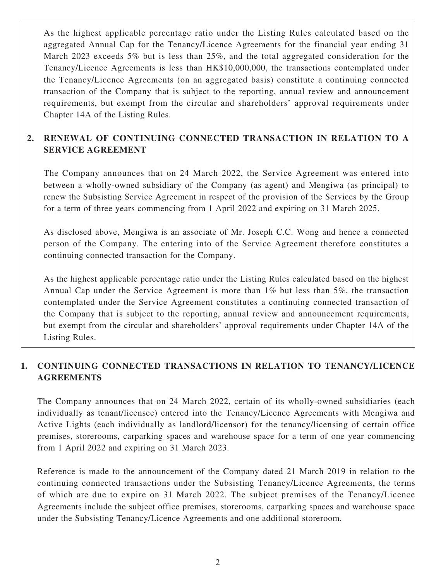As the highest applicable percentage ratio under the Listing Rules calculated based on the aggregated Annual Cap for the Tenancy/Licence Agreements for the financial year ending 31 March 2023 exceeds 5% but is less than 25%, and the total aggregated consideration for the Tenancy/Licence Agreements is less than HK\$10,000,000, the transactions contemplated under the Tenancy/Licence Agreements (on an aggregated basis) constitute a continuing connected transaction of the Company that is subject to the reporting, annual review and announcement requirements, but exempt from the circular and shareholders' approval requirements under Chapter 14A of the Listing Rules.

#### **2. RENEWAL OF CONTINUING CONNECTED TRANSACTION IN RELATION TO A SERVICE AGREEMENT**

The Company announces that on 24 March 2022, the Service Agreement was entered into between a wholly-owned subsidiary of the Company (as agent) and Mengiwa (as principal) to renew the Subsisting Service Agreement in respect of the provision of the Services by the Group for a term of three years commencing from 1 April 2022 and expiring on 31 March 2025.

As disclosed above, Mengiwa is an associate of Mr. Joseph C.C. Wong and hence a connected person of the Company. The entering into of the Service Agreement therefore constitutes a continuing connected transaction for the Company.

As the highest applicable percentage ratio under the Listing Rules calculated based on the highest Annual Cap under the Service Agreement is more than 1% but less than 5%, the transaction contemplated under the Service Agreement constitutes a continuing connected transaction of the Company that is subject to the reporting, annual review and announcement requirements, but exempt from the circular and shareholders' approval requirements under Chapter 14A of the Listing Rules.

#### **1. CONTINUING CONNECTED TRANSACTIONS IN RELATION TO TENANCY/LICENCE AGREEMENTS**

The Company announces that on 24 March 2022, certain of its wholly-owned subsidiaries (each individually as tenant/licensee) entered into the Tenancy/Licence Agreements with Mengiwa and Active Lights (each individually as landlord/licensor) for the tenancy/licensing of certain office premises, storerooms, carparking spaces and warehouse space for a term of one year commencing from 1 April 2022 and expiring on 31 March 2023.

Reference is made to the announcement of the Company dated 21 March 2019 in relation to the continuing connected transactions under the Subsisting Tenancy/Licence Agreements, the terms of which are due to expire on 31 March 2022. The subject premises of the Tenancy/Licence Agreements include the subject office premises, storerooms, carparking spaces and warehouse space under the Subsisting Tenancy/Licence Agreements and one additional storeroom.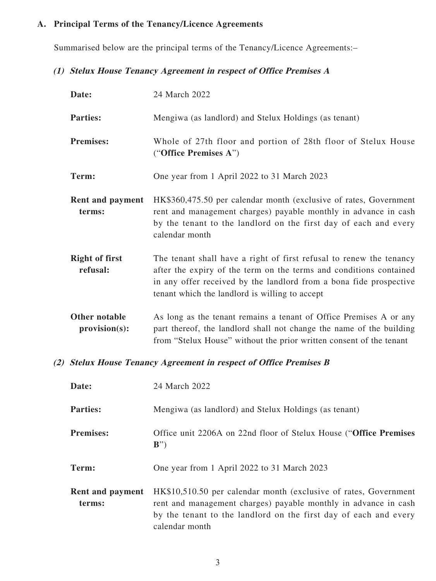#### **A. Principal Terms of the Tenancy/Licence Agreements**

Summarised below are the principal terms of the Tenancy/Licence Agreements:–

#### **(1) Stelux House Tenancy Agreement in respect of Office Premises A**

| Date:                             | 24 March 2022                                                                                                                                                                                                                                                     |
|-----------------------------------|-------------------------------------------------------------------------------------------------------------------------------------------------------------------------------------------------------------------------------------------------------------------|
| <b>Parties:</b>                   | Mengiwa (as landlord) and Stelux Holdings (as tenant)                                                                                                                                                                                                             |
| <b>Premises:</b>                  | Whole of 27th floor and portion of 28th floor of Stelux House<br>("Office Premises A")                                                                                                                                                                            |
| Term:                             | One year from 1 April 2022 to 31 March 2023                                                                                                                                                                                                                       |
| <b>Rent and payment</b><br>terms: | HK\$360,475.50 per calendar month (exclusive of rates, Government<br>rent and management charges) payable monthly in advance in cash<br>by the tenant to the landlord on the first day of each and every<br>calendar month                                        |
| <b>Right of first</b><br>refusal: | The tenant shall have a right of first refusal to renew the tenancy<br>after the expiry of the term on the terms and conditions contained<br>in any offer received by the landlord from a bona fide prospective<br>tenant which the landlord is willing to accept |
| Other notable<br>provision(s):    | As long as the tenant remains a tenant of Office Premises A or any<br>part thereof, the landlord shall not change the name of the building<br>from "Stelux House" without the prior written consent of the tenant                                                 |

#### **(2) Stelux House Tenancy Agreement in respect of Office Premises B**

| Date:                      | 24 March 2022                                                                                                                                                                                                             |
|----------------------------|---------------------------------------------------------------------------------------------------------------------------------------------------------------------------------------------------------------------------|
| <b>Parties:</b>            | Mengiwa (as landlord) and Stelux Holdings (as tenant)                                                                                                                                                                     |
| <b>Premises:</b>           | Office unit 2206A on 22nd floor of Stelux House ("Office Premises")<br>$B^{\prime\prime}$                                                                                                                                 |
| Term:                      | One year from 1 April 2022 to 31 March 2023                                                                                                                                                                               |
| Rent and payment<br>terms: | HK\$10,510.50 per calendar month (exclusive of rates, Government<br>rent and management charges) payable monthly in advance in cash<br>by the tenant to the landlord on the first day of each and every<br>calendar month |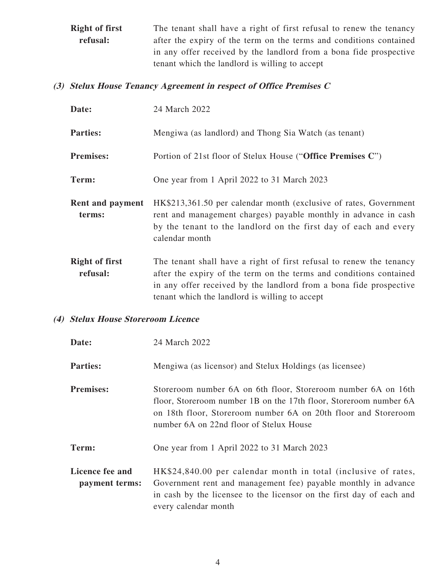**Right of first refusal:** The tenant shall have a right of first refusal to renew the tenancy after the expiry of the term on the terms and conditions contained in any offer received by the landlord from a bona fide prospective tenant which the landlord is willing to accept

#### **(3) Stelux House Tenancy Agreement in respect of Office Premises C**

| Date:                             | 24 March 2022                                                                                                                                                                                                                                                     |
|-----------------------------------|-------------------------------------------------------------------------------------------------------------------------------------------------------------------------------------------------------------------------------------------------------------------|
| <b>Parties:</b>                   | Mengiwa (as landlord) and Thong Sia Watch (as tenant)                                                                                                                                                                                                             |
| <b>Premises:</b>                  | Portion of 21st floor of Stelux House ("Office Premises C")                                                                                                                                                                                                       |
| Term:                             | One year from 1 April 2022 to 31 March 2023                                                                                                                                                                                                                       |
| <b>Rent and payment</b><br>terms: | HK\$213,361.50 per calendar month (exclusive of rates, Government<br>rent and management charges) payable monthly in advance in cash<br>by the tenant to the landlord on the first day of each and every<br>calendar month                                        |
| <b>Right of first</b><br>refusal: | The tenant shall have a right of first refusal to renew the tenancy<br>after the expiry of the term on the terms and conditions contained<br>in any offer received by the landlord from a bona fide prospective<br>tenant which the landlord is willing to accept |

#### **(4) Stelux House Storeroom Licence**

| Date:                             | 24 March 2022                                                                                                                                                                                                                                   |
|-----------------------------------|-------------------------------------------------------------------------------------------------------------------------------------------------------------------------------------------------------------------------------------------------|
| <b>Parties:</b>                   | Mengiwa (as licensor) and Stelux Holdings (as licensee)                                                                                                                                                                                         |
| <b>Premises:</b>                  | Storeroom number 6A on 6th floor, Storeroom number 6A on 16th<br>floor, Storeroom number 1B on the 17th floor, Storeroom number 6A<br>on 18th floor, Storeroom number 6A on 20th floor and Storeroom<br>number 6A on 22nd floor of Stelux House |
| Term:                             | One year from 1 April 2022 to 31 March 2023                                                                                                                                                                                                     |
| Licence fee and<br>payment terms: | HK\$24,840.00 per calendar month in total (inclusive of rates,<br>Government rent and management fee) payable monthly in advance<br>in cash by the licensee to the licensor on the first day of each and<br>every calendar month                |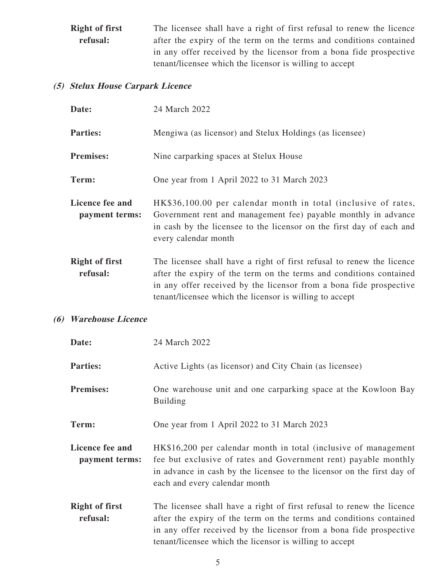**Right of first refusal:** The licensee shall have a right of first refusal to renew the licence after the expiry of the term on the terms and conditions contained in any offer received by the licensor from a bona fide prospective tenant/licensee which the licensor is willing to accept

#### **(5) Stelux House Carpark Licence**

| Date:                             | 24 March 2022                                                                                                                                                                                                                                                                |
|-----------------------------------|------------------------------------------------------------------------------------------------------------------------------------------------------------------------------------------------------------------------------------------------------------------------------|
| <b>Parties:</b>                   | Mengiwa (as licensor) and Stelux Holdings (as licensee)                                                                                                                                                                                                                      |
| <b>Premises:</b>                  | Nine carparking spaces at Stelux House                                                                                                                                                                                                                                       |
| Term:                             | One year from 1 April 2022 to 31 March 2023                                                                                                                                                                                                                                  |
| Licence fee and<br>payment terms: | HK\$36,100.00 per calendar month in total (inclusive of rates,<br>Government rent and management fee) payable monthly in advance<br>in cash by the licensee to the licensor on the first day of each and<br>every calendar month                                             |
| <b>Right of first</b><br>refusal: | The licensee shall have a right of first refusal to renew the licence<br>after the expiry of the term on the terms and conditions contained<br>in any offer received by the licensor from a bona fide prospective<br>tenant/licensee which the licensor is willing to accept |

#### **(6) Warehouse Licence**

| Date:                             | 24 March 2022                                                                                                                                                                                                                                                                |
|-----------------------------------|------------------------------------------------------------------------------------------------------------------------------------------------------------------------------------------------------------------------------------------------------------------------------|
| <b>Parties:</b>                   | Active Lights (as licensor) and City Chain (as licensee)                                                                                                                                                                                                                     |
| <b>Premises:</b>                  | One warehouse unit and one carparking space at the Kowloon Bay<br><b>Building</b>                                                                                                                                                                                            |
| Term:                             | One year from 1 April 2022 to 31 March 2023                                                                                                                                                                                                                                  |
| Licence fee and<br>payment terms: | HK\$16,200 per calendar month in total (inclusive of management<br>fee but exclusive of rates and Government rent) payable monthly<br>in advance in cash by the licensee to the licensor on the first day of<br>each and every calendar month                                |
| <b>Right of first</b><br>refusal: | The licensee shall have a right of first refusal to renew the licence<br>after the expiry of the term on the terms and conditions contained<br>in any offer received by the licensor from a bona fide prospective<br>tenant/licensee which the licensor is willing to accept |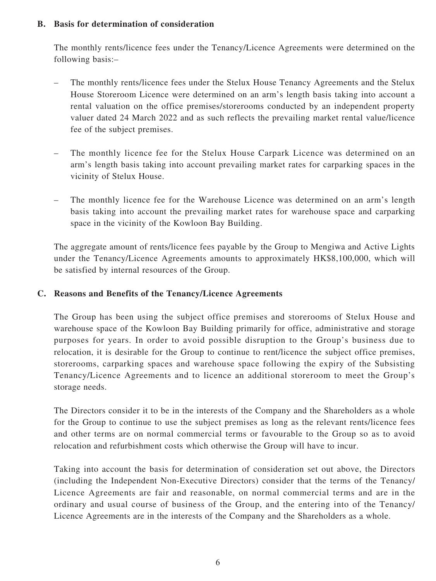#### **B. Basis for determination of consideration**

The monthly rents/licence fees under the Tenancy/Licence Agreements were determined on the following basis:–

- The monthly rents/licence fees under the Stelux House Tenancy Agreements and the Stelux House Storeroom Licence were determined on an arm's length basis taking into account a rental valuation on the office premises/storerooms conducted by an independent property valuer dated 24 March 2022 and as such reflects the prevailing market rental value/licence fee of the subject premises.
- The monthly licence fee for the Stelux House Carpark Licence was determined on an arm's length basis taking into account prevailing market rates for carparking spaces in the vicinity of Stelux House.
- The monthly licence fee for the Warehouse Licence was determined on an arm's length basis taking into account the prevailing market rates for warehouse space and carparking space in the vicinity of the Kowloon Bay Building.

The aggregate amount of rents/licence fees payable by the Group to Mengiwa and Active Lights under the Tenancy/Licence Agreements amounts to approximately HK\$8,100,000, which will be satisfied by internal resources of the Group.

#### **C. Reasons and Benefits of the Tenancy/Licence Agreements**

The Group has been using the subject office premises and storerooms of Stelux House and warehouse space of the Kowloon Bay Building primarily for office, administrative and storage purposes for years. In order to avoid possible disruption to the Group's business due to relocation, it is desirable for the Group to continue to rent/licence the subject office premises, storerooms, carparking spaces and warehouse space following the expiry of the Subsisting Tenancy/Licence Agreements and to licence an additional storeroom to meet the Group's storage needs.

The Directors consider it to be in the interests of the Company and the Shareholders as a whole for the Group to continue to use the subject premises as long as the relevant rents/licence fees and other terms are on normal commercial terms or favourable to the Group so as to avoid relocation and refurbishment costs which otherwise the Group will have to incur.

Taking into account the basis for determination of consideration set out above, the Directors (including the Independent Non-Executive Directors) consider that the terms of the Tenancy/ Licence Agreements are fair and reasonable, on normal commercial terms and are in the ordinary and usual course of business of the Group, and the entering into of the Tenancy/ Licence Agreements are in the interests of the Company and the Shareholders as a whole.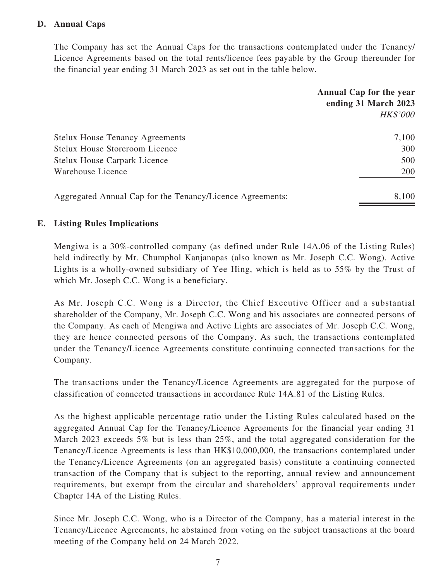#### **D. Annual Caps**

The Company has set the Annual Caps for the transactions contemplated under the Tenancy/ Licence Agreements based on the total rents/licence fees payable by the Group thereunder for the financial year ending 31 March 2023 as set out in the table below.

|                                                           | Annual Cap for the year<br>ending 31 March 2023<br><b>HK\$'000</b> |
|-----------------------------------------------------------|--------------------------------------------------------------------|
| <b>Stelux House Tenancy Agreements</b>                    | 7,100                                                              |
| <b>Stelux House Storeroom Licence</b>                     | 300                                                                |
| <b>Stelux House Carpark Licence</b>                       | 500                                                                |
| Warehouse Licence                                         | 200                                                                |
| Aggregated Annual Cap for the Tenancy/Licence Agreements: | 8,100                                                              |

#### **E. Listing Rules Implications**

Mengiwa is a 30%-controlled company (as defined under Rule 14A.06 of the Listing Rules) held indirectly by Mr. Chumphol Kanjanapas (also known as Mr. Joseph C.C. Wong). Active Lights is a wholly-owned subsidiary of Yee Hing, which is held as to 55% by the Trust of which Mr. Joseph C.C. Wong is a beneficiary.

As Mr. Joseph C.C. Wong is a Director, the Chief Executive Officer and a substantial shareholder of the Company, Mr. Joseph C.C. Wong and his associates are connected persons of the Company. As each of Mengiwa and Active Lights are associates of Mr. Joseph C.C. Wong, they are hence connected persons of the Company. As such, the transactions contemplated under the Tenancy/Licence Agreements constitute continuing connected transactions for the Company.

The transactions under the Tenancy/Licence Agreements are aggregated for the purpose of classification of connected transactions in accordance Rule 14A.81 of the Listing Rules.

As the highest applicable percentage ratio under the Listing Rules calculated based on the aggregated Annual Cap for the Tenancy/Licence Agreements for the financial year ending 31 March 2023 exceeds 5% but is less than 25%, and the total aggregated consideration for the Tenancy/Licence Agreements is less than HK\$10,000,000, the transactions contemplated under the Tenancy/Licence Agreements (on an aggregated basis) constitute a continuing connected transaction of the Company that is subject to the reporting, annual review and announcement requirements, but exempt from the circular and shareholders' approval requirements under Chapter 14A of the Listing Rules.

Since Mr. Joseph C.C. Wong, who is a Director of the Company, has a material interest in the Tenancy/Licence Agreements, he abstained from voting on the subject transactions at the board meeting of the Company held on 24 March 2022.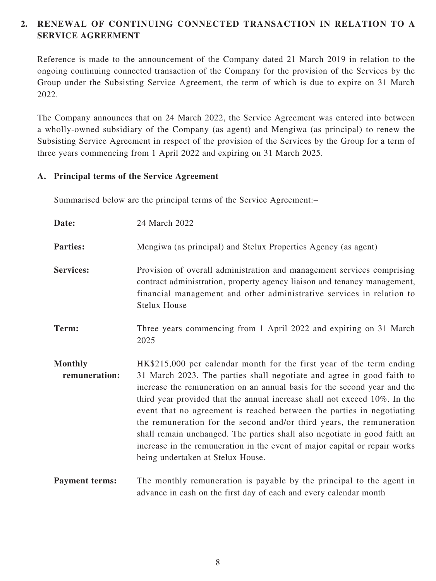#### **2. RENEWAL OF CONTINUING CONNECTED TRANSACTION IN RELATION TO A SERVICE AGREEMENT**

Reference is made to the announcement of the Company dated 21 March 2019 in relation to the ongoing continuing connected transaction of the Company for the provision of the Services by the Group under the Subsisting Service Agreement, the term of which is due to expire on 31 March 2022.

The Company announces that on 24 March 2022, the Service Agreement was entered into between a wholly-owned subsidiary of the Company (as agent) and Mengiwa (as principal) to renew the Subsisting Service Agreement in respect of the provision of the Services by the Group for a term of three years commencing from 1 April 2022 and expiring on 31 March 2025.

#### **A. Principal terms of the Service Agreement**

Summarised below are the principal terms of the Service Agreement:–

| Date:                           | 24 March 2022                                                                                                                                                                                                                                                                                                                                                                                                                                                                                                                                                                                                                                           |  |
|---------------------------------|---------------------------------------------------------------------------------------------------------------------------------------------------------------------------------------------------------------------------------------------------------------------------------------------------------------------------------------------------------------------------------------------------------------------------------------------------------------------------------------------------------------------------------------------------------------------------------------------------------------------------------------------------------|--|
| <b>Parties:</b>                 | Mengiwa (as principal) and Stelux Properties Agency (as agent)                                                                                                                                                                                                                                                                                                                                                                                                                                                                                                                                                                                          |  |
| <b>Services:</b>                | Provision of overall administration and management services comprising<br>contract administration, property agency liaison and tenancy management,<br>financial management and other administrative services in relation to<br><b>Stelux House</b>                                                                                                                                                                                                                                                                                                                                                                                                      |  |
| Term:                           | Three years commencing from 1 April 2022 and expiring on 31 March<br>2025                                                                                                                                                                                                                                                                                                                                                                                                                                                                                                                                                                               |  |
| <b>Monthly</b><br>remuneration: | HK\$215,000 per calendar month for the first year of the term ending<br>31 March 2023. The parties shall negotiate and agree in good faith to<br>increase the remuneration on an annual basis for the second year and the<br>third year provided that the annual increase shall not exceed 10%. In the<br>event that no agreement is reached between the parties in negotiating<br>the remuneration for the second and/or third years, the remuneration<br>shall remain unchanged. The parties shall also negotiate in good faith an<br>increase in the remuneration in the event of major capital or repair works<br>being undertaken at Stelux House. |  |
| <b>Payment terms:</b>           | The monthly remuneration is payable by the principal to the agent in                                                                                                                                                                                                                                                                                                                                                                                                                                                                                                                                                                                    |  |

advance in cash on the first day of each and every calendar month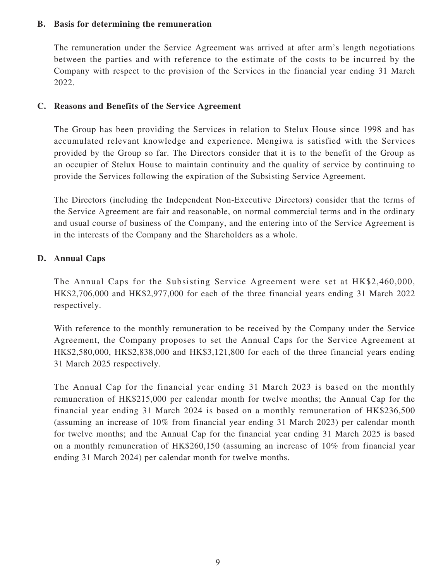#### **B. Basis for determining the remuneration**

The remuneration under the Service Agreement was arrived at after arm's length negotiations between the parties and with reference to the estimate of the costs to be incurred by the Company with respect to the provision of the Services in the financial year ending 31 March 2022.

#### **C. Reasons and Benefits of the Service Agreement**

The Group has been providing the Services in relation to Stelux House since 1998 and has accumulated relevant knowledge and experience. Mengiwa is satisfied with the Services provided by the Group so far. The Directors consider that it is to the benefit of the Group as an occupier of Stelux House to maintain continuity and the quality of service by continuing to provide the Services following the expiration of the Subsisting Service Agreement.

The Directors (including the Independent Non-Executive Directors) consider that the terms of the Service Agreement are fair and reasonable, on normal commercial terms and in the ordinary and usual course of business of the Company, and the entering into of the Service Agreement is in the interests of the Company and the Shareholders as a whole.

#### **D. Annual Caps**

The Annual Caps for the Subsisting Service Agreement were set at HK\$2,460,000, HK\$2,706,000 and HK\$2,977,000 for each of the three financial years ending 31 March 2022 respectively.

With reference to the monthly remuneration to be received by the Company under the Service Agreement, the Company proposes to set the Annual Caps for the Service Agreement at HK\$2,580,000, HK\$2,838,000 and HK\$3,121,800 for each of the three financial years ending 31 March 2025 respectively.

The Annual Cap for the financial year ending 31 March 2023 is based on the monthly remuneration of HK\$215,000 per calendar month for twelve months; the Annual Cap for the financial year ending 31 March 2024 is based on a monthly remuneration of HK\$236,500 (assuming an increase of 10% from financial year ending 31 March 2023) per calendar month for twelve months; and the Annual Cap for the financial year ending 31 March 2025 is based on a monthly remuneration of HK\$260,150 (assuming an increase of 10% from financial year ending 31 March 2024) per calendar month for twelve months.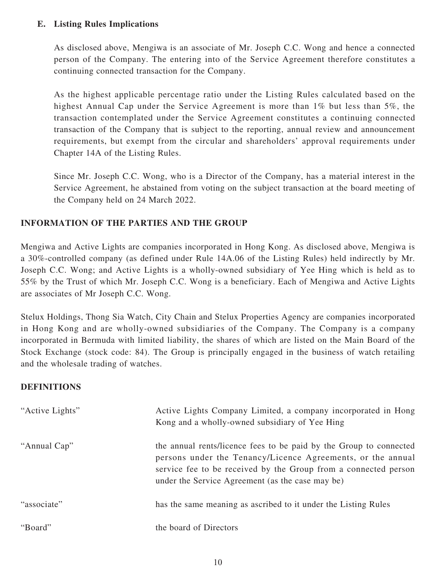#### **E. Listing Rules Implications**

As disclosed above, Mengiwa is an associate of Mr. Joseph C.C. Wong and hence a connected person of the Company. The entering into of the Service Agreement therefore constitutes a continuing connected transaction for the Company.

As the highest applicable percentage ratio under the Listing Rules calculated based on the highest Annual Cap under the Service Agreement is more than 1% but less than 5%, the transaction contemplated under the Service Agreement constitutes a continuing connected transaction of the Company that is subject to the reporting, annual review and announcement requirements, but exempt from the circular and shareholders' approval requirements under Chapter 14A of the Listing Rules.

Since Mr. Joseph C.C. Wong, who is a Director of the Company, has a material interest in the Service Agreement, he abstained from voting on the subject transaction at the board meeting of the Company held on 24 March 2022.

#### **INFORMATION OF THE PARTIES AND THE GROUP**

Mengiwa and Active Lights are companies incorporated in Hong Kong. As disclosed above, Mengiwa is a 30%-controlled company (as defined under Rule 14A.06 of the Listing Rules) held indirectly by Mr. Joseph C.C. Wong; and Active Lights is a wholly-owned subsidiary of Yee Hing which is held as to 55% by the Trust of which Mr. Joseph C.C. Wong is a beneficiary. Each of Mengiwa and Active Lights are associates of Mr Joseph C.C. Wong.

Stelux Holdings, Thong Sia Watch, City Chain and Stelux Properties Agency are companies incorporated in Hong Kong and are wholly-owned subsidiaries of the Company. The Company is a company incorporated in Bermuda with limited liability, the shares of which are listed on the Main Board of the Stock Exchange (stock code: 84). The Group is principally engaged in the business of watch retailing and the wholesale trading of watches.

#### **DEFINITIONS**

| "Active Lights" | Active Lights Company Limited, a company incorporated in Hong<br>Kong and a wholly-owned subsidiary of Yee Hing                                                                                                                                          |
|-----------------|----------------------------------------------------------------------------------------------------------------------------------------------------------------------------------------------------------------------------------------------------------|
| "Annual Cap"    | the annual rents/licence fees to be paid by the Group to connected<br>persons under the Tenancy/Licence Agreements, or the annual<br>service fee to be received by the Group from a connected person<br>under the Service Agreement (as the case may be) |
| "associate"     | has the same meaning as ascribed to it under the Listing Rules                                                                                                                                                                                           |
| "Board"         | the board of Directors                                                                                                                                                                                                                                   |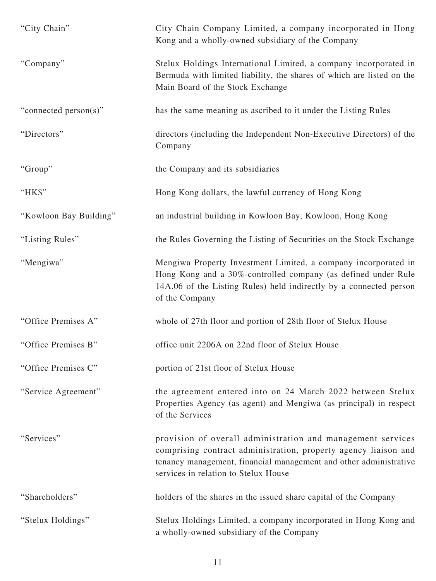| "City Chain"           | City Chain Company Limited, a company incorporated in Hong<br>Kong and a wholly-owned subsidiary of the Company                                                                                                                             |
|------------------------|---------------------------------------------------------------------------------------------------------------------------------------------------------------------------------------------------------------------------------------------|
| "Company"              | Stelux Holdings International Limited, a company incorporated in<br>Bermuda with limited liability, the shares of which are listed on the<br>Main Board of the Stock Exchange                                                               |
| "connected person(s)"  | has the same meaning as ascribed to it under the Listing Rules                                                                                                                                                                              |
| "Directors"            | directors (including the Independent Non-Executive Directors) of the<br>Company                                                                                                                                                             |
| "Group"                | the Company and its subsidiaries                                                                                                                                                                                                            |
| "HK\$"                 | Hong Kong dollars, the lawful currency of Hong Kong                                                                                                                                                                                         |
| "Kowloon Bay Building" | an industrial building in Kowloon Bay, Kowloon, Hong Kong                                                                                                                                                                                   |
| "Listing Rules"        | the Rules Governing the Listing of Securities on the Stock Exchange                                                                                                                                                                         |
| "Mengiwa"              | Mengiwa Property Investment Limited, a company incorporated in<br>Hong Kong and a 30%-controlled company (as defined under Rule<br>14A.06 of the Listing Rules) held indirectly by a connected person<br>of the Company                     |
| "Office Premises A"    | whole of 27th floor and portion of 28th floor of Stelux House                                                                                                                                                                               |
| "Office Premises B"    | office unit 2206A on 22nd floor of Stelux House                                                                                                                                                                                             |
| "Office Premises C"    | portion of 21st floor of Stelux House                                                                                                                                                                                                       |
| "Service Agreement"    | the agreement entered into on 24 March 2022 between Stelux<br>Properties Agency (as agent) and Mengiwa (as principal) in respect<br>of the Services                                                                                         |
| "Services"             | provision of overall administration and management services<br>comprising contract administration, property agency liaison and<br>tenancy management, financial management and other administrative<br>services in relation to Stelux House |
| "Shareholders"         | holders of the shares in the issued share capital of the Company                                                                                                                                                                            |
| "Stelux Holdings"      | Stelux Holdings Limited, a company incorporated in Hong Kong and<br>a wholly-owned subsidiary of the Company                                                                                                                                |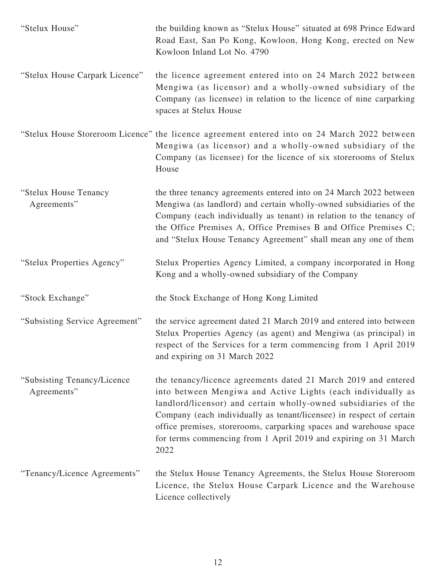| "Stelux House"                              | the building known as "Stelux House" situated at 698 Prince Edward<br>Road East, San Po Kong, Kowloon, Hong Kong, erected on New<br>Kowloon Inland Lot No. 4790                                                                                                                                                                                                                                                            |
|---------------------------------------------|----------------------------------------------------------------------------------------------------------------------------------------------------------------------------------------------------------------------------------------------------------------------------------------------------------------------------------------------------------------------------------------------------------------------------|
| "Stelux House Carpark Licence"              | the licence agreement entered into on 24 March 2022 between<br>Mengiwa (as licensor) and a wholly-owned subsidiary of the<br>Company (as licensee) in relation to the licence of nine carparking<br>spaces at Stelux House                                                                                                                                                                                                 |
|                                             | "Stelux House Storeroom Licence" the licence agreement entered into on 24 March 2022 between<br>Mengiwa (as licensor) and a wholly-owned subsidiary of the<br>Company (as licensee) for the licence of six storerooms of Stelux<br>House                                                                                                                                                                                   |
| "Stelux House Tenancy<br>Agreements"        | the three tenancy agreements entered into on 24 March 2022 between<br>Mengiwa (as landlord) and certain wholly-owned subsidiaries of the<br>Company (each individually as tenant) in relation to the tenancy of<br>the Office Premises A, Office Premises B and Office Premises C;<br>and "Stelux House Tenancy Agreement" shall mean any one of them                                                                      |
| "Stelux Properties Agency"                  | Stelux Properties Agency Limited, a company incorporated in Hong<br>Kong and a wholly-owned subsidiary of the Company                                                                                                                                                                                                                                                                                                      |
| "Stock Exchange"                            | the Stock Exchange of Hong Kong Limited                                                                                                                                                                                                                                                                                                                                                                                    |
| "Subsisting Service Agreement"              | the service agreement dated 21 March 2019 and entered into between<br>Stelux Properties Agency (as agent) and Mengiwa (as principal) in<br>respect of the Services for a term commencing from 1 April 2019<br>and expiring on 31 March 2022                                                                                                                                                                                |
| "Subsisting Tenancy/Licence"<br>Agreements" | the tenancy/licence agreements dated 21 March 2019 and entered<br>into between Mengiwa and Active Lights (each individually as<br>landlord/licensor) and certain wholly-owned subsidiaries of the<br>Company (each individually as tenant/licensee) in respect of certain<br>office premises, storerooms, carparking spaces and warehouse space<br>for terms commencing from 1 April 2019 and expiring on 31 March<br>2022 |
| "Tenancy/Licence Agreements"                | the Stelux House Tenancy Agreements, the Stelux House Storeroom<br>Licence, the Stelux House Carpark Licence and the Warehouse<br>Licence collectively                                                                                                                                                                                                                                                                     |